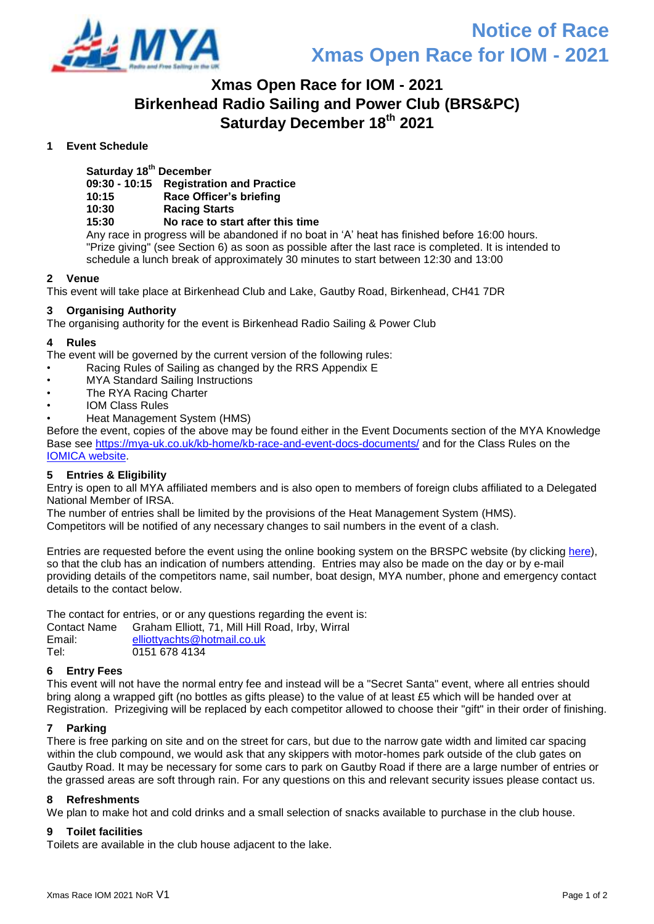

## **Xmas Open Race for IOM - 2021 Birkenhead Radio Sailing and Power Club (BRS&PC) Saturday December 18th 2021**

### **1 Event Schedule**

**Saturday 18th December**

**09:30 - 10:15 Registration and Practice**

**10:15 Race Officer's briefing**

### **10:30 Racing Starts**

### **15:30 No race to start after this time**

Any race in progress will be abandoned if no boat in 'A' heat has finished before 16:00 hours. "Prize giving" (see Section 6) as soon as possible after the last race is completed. It is intended to schedule a lunch break of approximately 30 minutes to start between 12:30 and 13:00

### **2 Venue**

This event will take place at Birkenhead Club and Lake, Gautby Road, Birkenhead, CH41 7DR

### **3 Organising Authority**

The organising authority for the event is Birkenhead Radio Sailing & Power Club

### **4 Rules**

The event will be governed by the current version of the following rules:

- Racing Rules of Sailing as changed by the RRS Appendix E
- MYA Standard Sailing Instructions
- The RYA Racing Charter
- IOM Class Rules
- Heat Management System (HMS)

Before the event, copies of the above may be found either in the Event Documents section of the MYA Knowledge Base see<https://mya-uk.co.uk/kb-home/kb-race-and-event-docs-documents/> and for the Class Rules on the [IOMICA website.](http://www.iomclass.org/class-rules-2017/)

### **5 Entries & Eligibility**

Entry is open to all MYA affiliated members and is also open to members of foreign clubs affiliated to a Delegated National Member of IRSA.

The number of entries shall be limited by the provisions of the Heat Management System (HMS).

Competitors will be notified of any necessary changes to sail numbers in the event of a clash.

Entries are requested before the event using the online booking system on the BRSPC website (by clicking [here\)](https://birkenheadrspc.co.uk/strebor-iom-open-2021/), so that the club has an indication of numbers attending. Entries may also be made on the day or by e-mail providing details of the competitors name, sail number, boat design, MYA number, phone and emergency contact details to the contact below.

The contact for entries, or or any questions regarding the event is: Contact Name Graham Elliott, 71, Mill Hill Road, Irby, Wirral Email: [elliottyachts@hotmail.co.uk](mailto:elliottyachts@hotmail.co.uk)

### Tel: 0151 678 4134

### **6 Entry Fees**

This event will not have the normal entry fee and instead will be a "Secret Santa" event, where all entries should bring along a wrapped gift (no bottles as gifts please) to the value of at least £5 which will be handed over at Registration. Prizegiving will be replaced by each competitor allowed to choose their "gift" in their order of finishing.

### **7 Parking**

There is free parking on site and on the street for cars, but due to the narrow gate width and limited car spacing within the club compound, we would ask that any skippers with motor-homes park outside of the club gates on Gautby Road. It may be necessary for some cars to park on Gautby Road if there are a large number of entries or the grassed areas are soft through rain. For any questions on this and relevant security issues please contact us.

### **8 Refreshments**

We plan to make hot and cold drinks and a small selection of snacks available to purchase in the club house.

### **9 Toilet facilities**

Toilets are available in the club house adjacent to the lake.